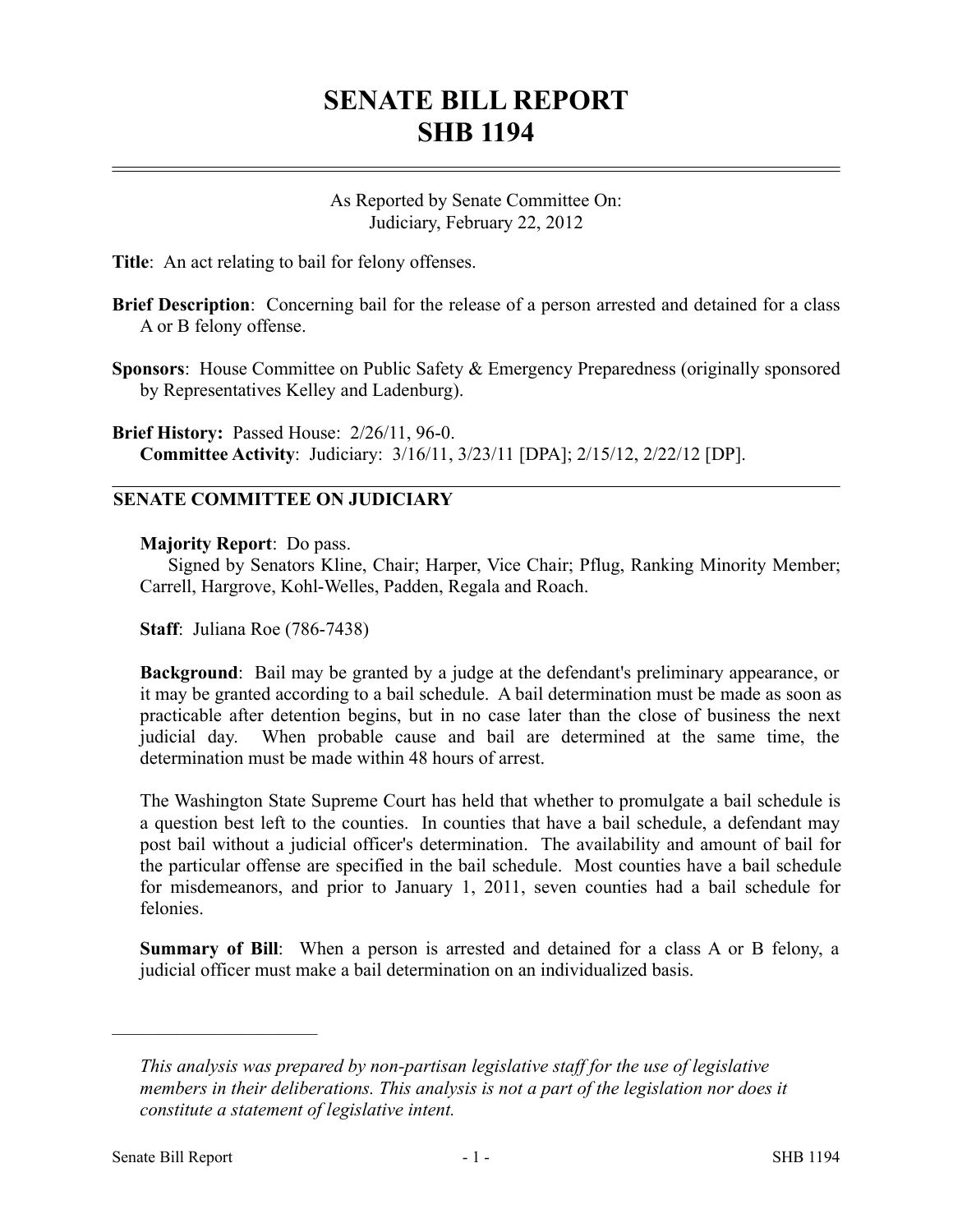## **SENATE BILL REPORT SHB 1194**

As Reported by Senate Committee On: Judiciary, February 22, 2012

**Title**: An act relating to bail for felony offenses.

- **Brief Description**: Concerning bail for the release of a person arrested and detained for a class A or B felony offense.
- **Sponsors**: House Committee on Public Safety & Emergency Preparedness (originally sponsored by Representatives Kelley and Ladenburg).

**Brief History:** Passed House: 2/26/11, 96-0. **Committee Activity**: Judiciary: 3/16/11, 3/23/11 [DPA]; 2/15/12, 2/22/12 [DP].

## **SENATE COMMITTEE ON JUDICIARY**

**Majority Report**: Do pass.

Signed by Senators Kline, Chair; Harper, Vice Chair; Pflug, Ranking Minority Member; Carrell, Hargrove, Kohl-Welles, Padden, Regala and Roach.

**Staff**: Juliana Roe (786-7438)

**Background**: Bail may be granted by a judge at the defendant's preliminary appearance, or it may be granted according to a bail schedule. A bail determination must be made as soon as practicable after detention begins, but in no case later than the close of business the next judicial day. When probable cause and bail are determined at the same time, the determination must be made within 48 hours of arrest.

The Washington State Supreme Court has held that whether to promulgate a bail schedule is a question best left to the counties. In counties that have a bail schedule, a defendant may post bail without a judicial officer's determination. The availability and amount of bail for the particular offense are specified in the bail schedule. Most counties have a bail schedule for misdemeanors, and prior to January 1, 2011, seven counties had a bail schedule for felonies.

**Summary of Bill**: When a person is arrested and detained for a class A or B felony, a judicial officer must make a bail determination on an individualized basis.

––––––––––––––––––––––

*This analysis was prepared by non-partisan legislative staff for the use of legislative members in their deliberations. This analysis is not a part of the legislation nor does it constitute a statement of legislative intent.*